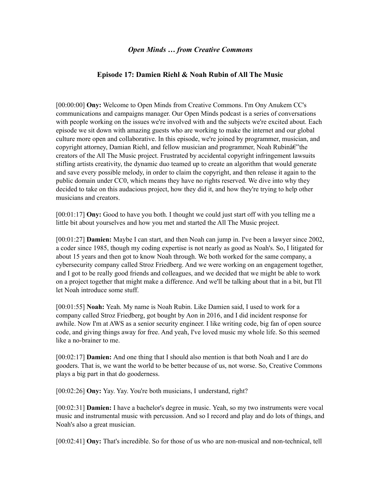## **Episode 17: Damien Riehl & Noah Rubin of All The Music**

[00:00:00] **Ony:** Welcome to Open Minds from Creative Commons. I'm Ony Anukem CC's communications and campaigns manager. Our Open Minds podcast is a series of conversations with people working on the issues we're involved with and the subjects we're excited about. Each episode we sit down with amazing guests who are working to make the internet and our global culture more open and collaborative. In this episode, we're joined by programmer, musician, and copyright attorney, Damian Riehl, and fellow musician and programmer, Noah Rubinâ $\epsilon$ "the creators of the All The Music project. Frustrated by accidental copyright infringement lawsuits stifling artists creativity, the dynamic duo teamed up to create an algorithm that would generate and save every possible melody, in order to claim the copyright, and then release it again to the public domain under CC0, which means they have no rights reserved. We dive into why they decided to take on this audacious project, how they did it, and how they're trying to help other musicians and creators.

[00:01:17] **Ony:** Good to have you both. I thought we could just start off with you telling me a little bit about yourselves and how you met and started the All The Music project.

[00:01:27] **Damien:** Maybe I can start, and then Noah can jump in. I've been a lawyer since 2002, a coder since 1985, though my coding expertise is not nearly as good as Noah's. So, I litigated for about 15 years and then got to know Noah through. We both worked for the same company, a cybersecurity company called Stroz Friedberg. And we were working on an engagement together, and I got to be really good friends and colleagues, and we decided that we might be able to work on a project together that might make a difference. And we'll be talking about that in a bit, but I'll let Noah introduce some stuff.

[00:01:55] **Noah:** Yeah. My name is Noah Rubin. Like Damien said, I used to work for a company called Stroz Friedberg, got bought by Aon in 2016, and I did incident response for awhile. Now I'm at AWS as a senior security engineer. I like writing code, big fan of open source code, and giving things away for free. And yeah, I've loved music my whole life. So this seemed like a no-brainer to me.

[00:02:17] **Damien:** And one thing that I should also mention is that both Noah and I are do gooders. That is, we want the world to be better because of us, not worse. So, Creative Commons plays a big part in that do gooderness.

[00:02:26] **Ony:** Yay. Yay. You're both musicians, I understand, right?

[00:02:31] **Damien:** I have a bachelor's degree in music. Yeah, so my two instruments were vocal music and instrumental music with percussion. And so I record and play and do lots of things, and Noah's also a great musician.

[00:02:41] **Ony:** That's incredible. So for those of us who are non-musical and non-technical, tell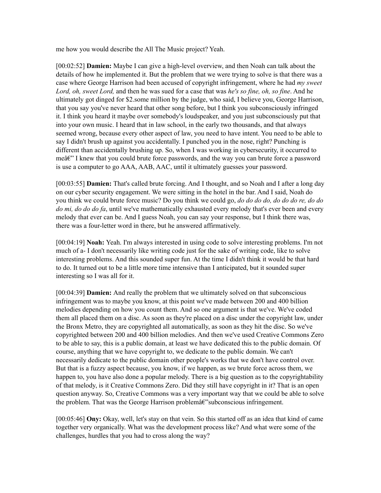me how you would describe the All The Music project? Yeah.

[00:02:52] **Damien:** Maybe I can give a high-level overview, and then Noah can talk about the details of how he implemented it. But the problem that we were trying to solve is that there was a case where George Harrison had been accused of copyright infringement, where he had *my sweet Lord, oh, sweet Lord,* and then he was sued for a case that was *he's so fine, oh, so fine*. And he ultimately got dinged for \$2.some million by the judge, who said, I believe you, George Harrison, that you say you've never heard that other song before, but I think you subconsciously infringed it. I think you heard it maybe over somebody's loudspeaker, and you just subconsciously put that into your own music. I heard that in law school, in the early two thousands, and that always seemed wrong, because every other aspect of law, you need to have intent. You need to be able to say I didn't brush up against you accidentally. I punched you in the nose, right? Punching is different than accidentally brushing up. So, when I was working in cybersecurity, it occurred to me a<sup> $\epsilon$ </sup> I knew that you could brute force passwords, and the way you can brute force a password is use a computer to go AAA, AAB, AAC, until it ultimately guesses your password.

[00:03:55] **Damien:** That's called brute forcing. And I thought, and so Noah and I after a long day on our cyber security engagement. We were sitting in the hotel in the bar. And I said, Noah do you think we could brute force music? Do you think we could go, *do do do do, do do do re, do do do mi, do do do fa*, until we've mathematically exhausted every melody that's ever been and every melody that ever can be. And I guess Noah, you can say your response, but I think there was, there was a four-letter word in there, but he answered affirmatively.

[00:04:19] **Noah:** Yeah. I'm always interested in using code to solve interesting problems. I'm not much of a- I don't necessarily like writing code just for the sake of writing code, like to solve interesting problems. And this sounded super fun. At the time I didn't think it would be that hard to do. It turned out to be a little more time intensive than I anticipated, but it sounded super interesting so I was all for it.

[00:04:39] **Damien:** And really the problem that we ultimately solved on that subconscious infringement was to maybe you know, at this point we've made between 200 and 400 billion melodies depending on how you count them. And so one argument is that we've. We've coded them all placed them on a disc. As soon as they're placed on a disc under the copyright law, under the Bronx Metro, they are copyrighted all automatically, as soon as they hit the disc. So we've copyrighted between 200 and 400 billion melodies. And then we've used Creative Commons Zero to be able to say, this is a public domain, at least we have dedicated this to the public domain. Of course, anything that we have copyright to, we dedicate to the public domain. We can't necessarily dedicate to the public domain other people's works that we don't have control over. But that is a fuzzy aspect because, you know, if we happen, as we brute force across them, we happen to, you have also done a popular melody. There is a big question as to the copyrightability of that melody, is it Creative Commons Zero. Did they still have copyright in it? That is an open question anyway. So, Creative Commons was a very important way that we could be able to solve the problem. That was the George Harrison problem $\hat{a} \in \hat{C}$  subconscious infringement.

[00:05:46] **Ony:** Okay, well, let's stay on that vein. So this started off as an idea that kind of came together very organically. What was the development process like? And what were some of the challenges, hurdles that you had to cross along the way?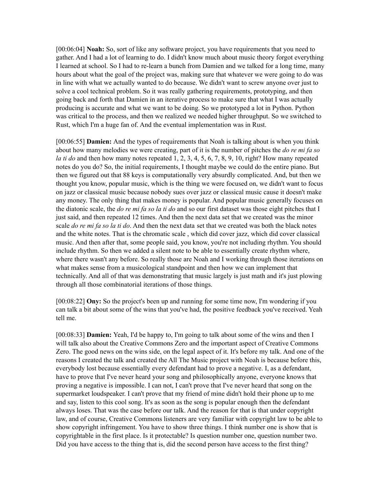[00:06:04] **Noah:** So, sort of like any software project, you have requirements that you need to gather. And I had a lot of learning to do. I didn't know much about music theory forgot everything I learned at school. So I had to re-learn a bunch from Damien and we talked for a long time, many hours about what the goal of the project was, making sure that whatever we were going to do was in line with what we actually wanted to do because. We didn't want to screw anyone over just to solve a cool technical problem. So it was really gathering requirements, prototyping, and then going back and forth that Damien in an iterative process to make sure that what I was actually producing is accurate and what we want to be doing. So we prototyped a lot in Python. Python was critical to the process, and then we realized we needed higher throughput. So we switched to Rust, which I'm a huge fan of. And the eventual implementation was in Rust.

[00:06:55] **Damien:** And the types of requirements that Noah is talking about is when you think about how many melodies we were creating, part of it is the number of pitches the *do re mi fa so la ti do* and then how many notes repeated 1, 2, 3, 4, 5, 6, 7, 8, 9, 10, right? How many repeated notes do you do? So, the initial requirements, I thought maybe we could do the entire piano. But then we figured out that 88 keys is computationally very absurdly complicated. And, but then we thought you know, popular music, which is the thing we were focused on, we didn't want to focus on jazz or classical music because nobody sues over jazz or classical music cause it doesn't make any money. The only thing that makes money is popular. And popular music generally focuses on the diatonic scale, the *do re mi fa so la ti do* and so our first dataset was those eight pitches that I just said, and then repeated 12 times. And then the next data set that we created was the minor scale *do re mi fa so la ti do*. And then the next data set that we created was both the black notes and the white notes. That is the chromatic scale , which did cover jazz, which did cover classical music. And then after that, some people said, you know, you're not including rhythm. You should include rhythm. So then we added a silent note to be able to essentially create rhythm where, where there wasn't any before. So really those are Noah and I working through those iterations on what makes sense from a musicological standpoint and then how we can implement that technically. And all of that was demonstrating that music largely is just math and it's just plowing through all those combinatorial iterations of those things.

[00:08:22] **Ony:** So the project's been up and running for some time now, I'm wondering if you can talk a bit about some of the wins that you've had, the positive feedback you've received. Yeah tell me.

[00:08:33] **Damien:** Yeah, I'd be happy to, I'm going to talk about some of the wins and then I will talk also about the Creative Commons Zero and the important aspect of Creative Commons Zero. The good news on the wins side, on the legal aspect of it. It's before my talk. And one of the reasons I created the talk and created the All The Music project with Noah is because before this, everybody lost because essentially every defendant had to prove a negative. I, as a defendant, have to prove that I've never heard your song and philosophically anyone, everyone knows that proving a negative is impossible. I can not, I can't prove that I've never heard that song on the supermarket loudspeaker. I can't prove that my friend of mine didn't hold their phone up to me and say, listen to this cool song. It's as soon as the song is popular enough then the defendant always loses. That was the case before our talk. And the reason for that is that under copyright law, and of course, Creative Commons listeners are very familiar with copyright law to be able to show copyright infringement. You have to show three things. I think number one is show that is copyrightable in the first place. Is it protectable? Is question number one, question number two. Did you have access to the thing that is, did the second person have access to the first thing?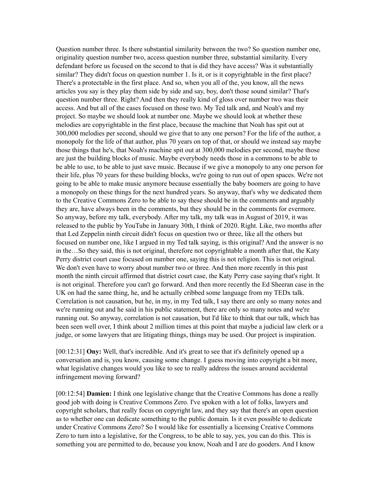Question number three. Is there substantial similarity between the two? So question number one, originality question number two, access question number three, substantial similarity. Every defendant before us focused on the second to that is did they have access? Was it substantially similar? They didn't focus on question number 1. Is it, or is it copyrightable in the first place? There's a protectable in the first place. And so, when you all of the, you know, all the news articles you say is they play them side by side and say, boy, don't those sound similar? That's question number three. Right? And then they really kind of gloss over number two was their access. And but all of the cases focused on those two. My Ted talk and, and Noah's and my project. So maybe we should look at number one. Maybe we should look at whether these melodies are copyrightable in the first place, because the machine that Noah has spit out at 300,000 melodies per second, should we give that to any one person? For the life of the author, a monopoly for the life of that author, plus 70 years on top of that, or should we instead say maybe those things that he's, that Noah's machine spit out at 300,000 melodies per second, maybe those are just the building blocks of music. Maybe everybody needs those in a commons to be able to be able to use, to be able to just save music. Because if we give a monopoly to any one person for their life, plus 70 years for these building blocks, we're going to run out of open spaces. We're not going to be able to make music anymore because essentially the baby boomers are going to have a monopoly on these things for the next hundred years. So anyway, that's why we dedicated them to the Creative Commons Zero to be able to say these should be in the comments and arguably they are, have always been in the comments, but they should be in the comments for evermore. So anyway, before my talk, everybody. After my talk, my talk was in August of 2019, it was released to the public by YouTube in January 30th, I think of 2020. Right. Like, two months after that Led Zeppelin ninth circuit didn't focus on question two or three, like all the others but focused on number one, like I argued in my Ted talk saying, is this original? And the answer is no in the…So they said, this is not original, therefore not copyrightable a month after that, the Katy Perry district court case focused on number one, saying this is not religion. This is not original. We don't even have to worry about number two or three. And then more recently in this past month the ninth circuit affirmed that district court case, the Katy Perry case saying that's right. It is not original. Therefore you can't go forward. And then more recently the Ed Sheeran case in the UK on had the same thing, he, and he actually cribbed some language from my TEDx talk. Correlation is not causation, but he, in my, in my Ted talk, I say there are only so many notes and we're running out and he said in his public statement, there are only so many notes and we're running out. So anyway, correlation is not causation, but I'd like to think that our talk, which has been seen well over, I think about 2 million times at this point that maybe a judicial law clerk or a judge, or some lawyers that are litigating things, things may be used. Our project is inspiration.

[00:12:31] **Ony:** Well, that's incredible. And it's great to see that it's definitely opened up a conversation and is, you know, causing some change. I guess moving into copyright a bit more, what legislative changes would you like to see to really address the issues around accidental infringement moving forward?

[00:12:54] **Damien:** I think one legislative change that the Creative Commons has done a really good job with doing is Creative Commons Zero. I've spoken with a lot of folks, lawyers and copyright scholars, that really focus on copyright law, and they say that there's an open question as to whether one can dedicate something to the public domain. Is it even possible to dedicate under Creative Commons Zero? So I would like for essentially a licensing Creative Commons Zero to turn into a legislative, for the Congress, to be able to say, yes, you can do this. This is something you are permitted to do, because you know, Noah and I are do gooders. And I know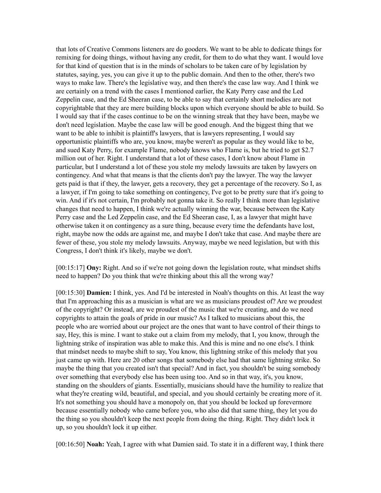that lots of Creative Commons listeners are do gooders. We want to be able to dedicate things for remixing for doing things, without having any credit, for them to do what they want. I would love for that kind of question that is in the minds of scholars to be taken care of by legislation by statutes, saying, yes, you can give it up to the public domain. And then to the other, there's two ways to make law. There's the legislative way, and then there's the case law way. And I think we are certainly on a trend with the cases I mentioned earlier, the Katy Perry case and the Led Zeppelin case, and the Ed Sheeran case, to be able to say that certainly short melodies are not copyrightable that they are mere building blocks upon which everyone should be able to build. So I would say that if the cases continue to be on the winning streak that they have been, maybe we don't need legislation. Maybe the case law will be good enough. And the biggest thing that we want to be able to inhibit is plaintiff's lawyers, that is lawyers representing, I would say opportunistic plaintiffs who are, you know, maybe weren't as popular as they would like to be, and sued Katy Perry, for example Flame, nobody knows who Flame is, but he tried to get \$2.7 million out of her. Right. I understand that a lot of these cases, I don't know about Flame in particular, but I understand a lot of these you stole my melody lawsuits are taken by lawyers on contingency. And what that means is that the clients don't pay the lawyer. The way the lawyer gets paid is that if they, the lawyer, gets a recovery, they get a percentage of the recovery. So I, as a lawyer, if I'm going to take something on contingency, I've got to be pretty sure that it's going to win. And if it's not certain, I'm probably not gonna take it. So really I think more than legislative changes that need to happen, I think we're actually winning the war, because between the Katy Perry case and the Led Zeppelin case, and the Ed Sheeran case, I, as a lawyer that might have otherwise taken it on contingency as a sure thing, because every time the defendants have lost, right, maybe now the odds are against me, and maybe I don't take that case. And maybe there are fewer of these, you stole my melody lawsuits. Anyway, maybe we need legislation, but with this Congress, I don't think it's likely, maybe we don't.

[00:15:17] **Ony:** Right. And so if we're not going down the legislation route, what mindset shifts need to happen? Do you think that we're thinking about this all the wrong way?

[00:15:30] **Damien:** I think, yes. And I'd be interested in Noah's thoughts on this. At least the way that I'm approaching this as a musician is what are we as musicians proudest of? Are we proudest of the copyright? Or instead, are we proudest of the music that we're creating, and do we need copyrights to attain the goals of pride in our music? As I talked to musicians about this, the people who are worried about our project are the ones that want to have control of their things to say, Hey, this is mine. I want to stake out a claim from my melody, that I, you know, through the lightning strike of inspiration was able to make this. And this is mine and no one else's. I think that mindset needs to maybe shift to say, You know, this lightning strike of this melody that you just came up with. Here are 20 other songs that somebody else had that same lightning strike. So maybe the thing that you created isn't that special? And in fact, you shouldn't be suing somebody over something that everybody else has been using too. And so in that way, it's, you know, standing on the shoulders of giants. Essentially, musicians should have the humility to realize that what they're creating wild, beautiful, and special, and you should certainly be creating more of it. It's not something you should have a monopoly on, that you should be locked up forevermore because essentially nobody who came before you, who also did that same thing, they let you do the thing so you shouldn't keep the next people from doing the thing. Right. They didn't lock it up, so you shouldn't lock it up either.

[00:16:50] **Noah:** Yeah, I agree with what Damien said. To state it in a different way, I think there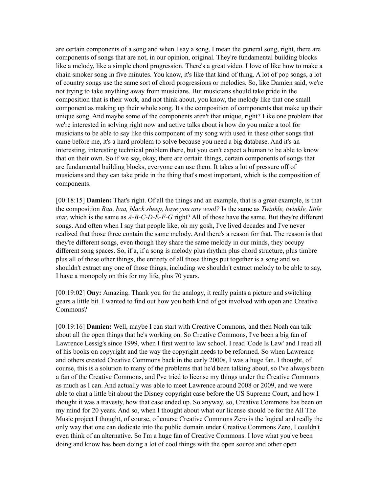are certain components of a song and when I say a song, I mean the general song, right, there are components of songs that are not, in our opinion, original. They're fundamental building blocks like a melody, like a simple chord progression. There's a great video. I love of like how to make a chain smoker song in five minutes. You know, it's like that kind of thing. A lot of pop songs, a lot of country songs use the same sort of chord progressions or melodies. So, like Damien said, we're not trying to take anything away from musicians. But musicians should take pride in the composition that is their work, and not think about, you know, the melody like that one small component as making up their whole song. It's the composition of components that make up their unique song. And maybe some of the components aren't that unique, right? Like one problem that we're interested in solving right now and active talks about is how do you make a tool for musicians to be able to say like this component of my song with used in these other songs that came before me, it's a hard problem to solve because you need a big database. And it's an interesting, interesting technical problem there, but you can't expect a human to be able to know that on their own. So if we say, okay, there are certain things, certain components of songs that are fundamental building blocks, everyone can use them. It takes a lot of pressure off of musicians and they can take pride in the thing that's most important, which is the composition of components.

[00:18:15] **Damien:** That's right. Of all the things and an example, that is a great example, is that the composition *Baa, baa, black sheep, have you any wool?* Is the same as *Twinkle, twinkle, little star*, which is the same as *A-B-C-D-E-F-G* right? All of those have the same. But they're different songs. And often when I say that people like, oh my gosh, I've lived decades and I've never realized that those three contain the same melody. And there's a reason for that. The reason is that they're different songs, even though they share the same melody in our minds, they occupy different song spaces. So, if a, if a song is melody plus rhythm plus chord structure, plus timbre plus all of these other things, the entirety of all those things put together is a song and we shouldn't extract any one of those things, including we shouldn't extract melody to be able to say, I have a monopoly on this for my life, plus 70 years.

[00:19:02] **Ony:** Amazing. Thank you for the analogy, it really paints a picture and switching gears a little bit. I wanted to find out how you both kind of got involved with open and Creative Commons?

[00:19:16] **Damien:** Well, maybe I can start with Creative Commons, and then Noah can talk about all the open things that he's working on. So Creative Commons, I've been a big fan of Lawrence Lessig's since 1999, when I first went to law school. I read 'Code Is Law' and I read all of his books on copyright and the way the copyright needs to be reformed. So when Lawrence and others created Creative Commons back in the early 2000s, I was a huge fan. I thought, of course, this is a solution to many of the problems that he'd been talking about, so I've always been a fan of the Creative Commons, and I've tried to license my things under the Creative Commons as much as I can. And actually was able to meet Lawrence around 2008 or 2009, and we were able to chat a little bit about the Disney copyright case before the US Supreme Court, and how I thought it was a travesty, how that case ended up. So anyway, so, Creative Commons has been on my mind for 20 years. And so, when I thought about what our license should be for the All The Music project I thought, of course, of course Creative Commons Zero is the logical and really the only way that one can dedicate into the public domain under Creative Commons Zero, I couldn't even think of an alternative. So I'm a huge fan of Creative Commons. I love what you've been doing and know has been doing a lot of cool things with the open source and other open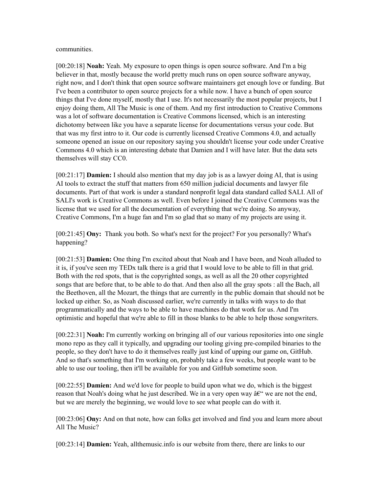communities.

[00:20:18] **Noah:** Yeah. My exposure to open things is open source software. And I'm a big believer in that, mostly because the world pretty much runs on open source software anyway, right now, and I don't think that open source software maintainers get enough love or funding. But I've been a contributor to open source projects for a while now. I have a bunch of open source things that I've done myself, mostly that I use. It's not necessarily the most popular projects, but I enjoy doing them, All The Music is one of them. And my first introduction to Creative Commons was a lot of software documentation is Creative Commons licensed, which is an interesting dichotomy between like you have a separate license for documentations versus your code. But that was my first intro to it. Our code is currently licensed Creative Commons 4.0, and actually someone opened an issue on our repository saying you shouldn't license your code under Creative Commons 4.0 which is an interesting debate that Damien and I will have later. But the data sets themselves will stay CC0.

[00:21:17] **Damien:** I should also mention that my day job is as a lawyer doing AI, that is using AI tools to extract the stuff that matters from 650 million judicial documents and lawyer file documents. Part of that work is under a standard nonprofit legal data standard called SALI. All of SALI's work is Creative Commons as well. Even before I joined the Creative Commons was the license that we used for all the documentation of everything that we're doing. So anyway, Creative Commons, I'm a huge fan and I'm so glad that so many of my projects are using it.

[00:21:45] **Ony:** Thank you both. So what's next for the project? For you personally? What's happening?

[00:21:53] **Damien:** One thing I'm excited about that Noah and I have been, and Noah alluded to it is, if you've seen my TEDx talk there is a grid that I would love to be able to fill in that grid. Both with the red spots, that is the copyrighted songs, as well as all the 20 other copyrighted songs that are before that, to be able to do that. And then also all the gray spots : all the Bach, all the Beethoven, all the Mozart, the things that are currently in the public domain that should not be locked up either. So, as Noah discussed earlier, we're currently in talks with ways to do that programmatically and the ways to be able to have machines do that work for us. And I'm optimistic and hopeful that we're able to fill in those blanks to be able to help those songwriters.

[00:22:31] **Noah:** I'm currently working on bringing all of our various repositories into one single mono repo as they call it typically, and upgrading our tooling giving pre-compiled binaries to the people, so they don't have to do it themselves really just kind of upping our game on, GitHub. And so that's something that I'm working on, probably take a few weeks, but people want to be able to use our tooling, then it'll be available for you and GitHub sometime soon.

[00:22:55] **Damien:** And we'd love for people to build upon what we do, which is the biggest reason that Noah's doing what he just described. We in a very open way  $\hat{a}\epsilon$ " we are not the end, but we are merely the beginning, we would love to see what people can do with it.

[00:23:06] **Ony:** And on that note, how can folks get involved and find you and learn more about All The Music?

[00:23:14] **Damien:** Yeah, allthemusic.info is our website from there, there are links to our